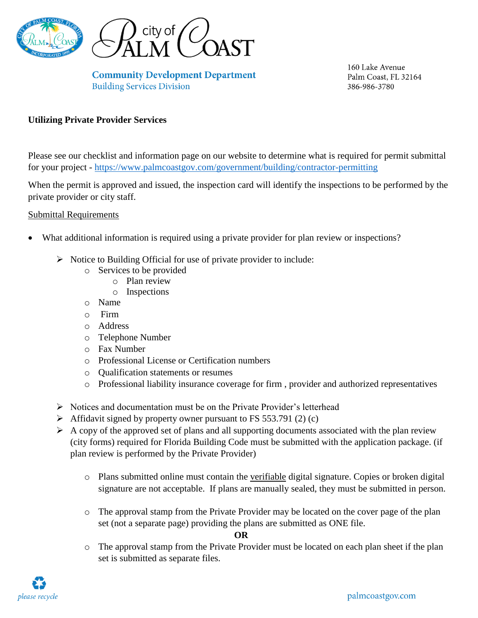

**Community Development Department Building Services Division** 

160 Lake Avenue Palm Coast, FL 32164 386-986-3780

### **Utilizing Private Provider Services**

Please see our checklist and information page on our website to determine what is required for permit submittal for your project - <https://www.palmcoastgov.com/government/building/contractor-permitting>

When the permit is approved and issued, the inspection card will identify the inspections to be performed by the private provider or city staff.

#### Submittal Requirements

- What additional information is required using a private provider for plan review or inspections?
	- $\triangleright$  Notice to Building Official for use of private provider to include:
		- o Services to be provided
			- o Plan review
			- o Inspections
		- o Name
		- o Firm
		- o Address
		- o Telephone Number
		- o Fax Number
		- o Professional License or Certification numbers
		- o Qualification statements or resumes
		- o Professional liability insurance coverage for firm , provider and authorized representatives
	- $\triangleright$  Notices and documentation must be on the Private Provider's letterhead
	- $\blacktriangleright$  Affidavit signed by property owner pursuant to FS 553.791 (2) (c)
	- $\triangleright$  A copy of the approved set of plans and all supporting documents associated with the plan review (city forms) required for Florida Building Code must be submitted with the application package. (if plan review is performed by the Private Provider)
		- o Plans submitted online must contain the verifiable digital signature. Copies or broken digital signature are not acceptable. If plans are manually sealed, they must be submitted in person.
		- o The approval stamp from the Private Provider may be located on the cover page of the plan set (not a separate page) providing the plans are submitted as ONE file.

#### **OR**

o The approval stamp from the Private Provider must be located on each plan sheet if the plan set is submitted as separate files.